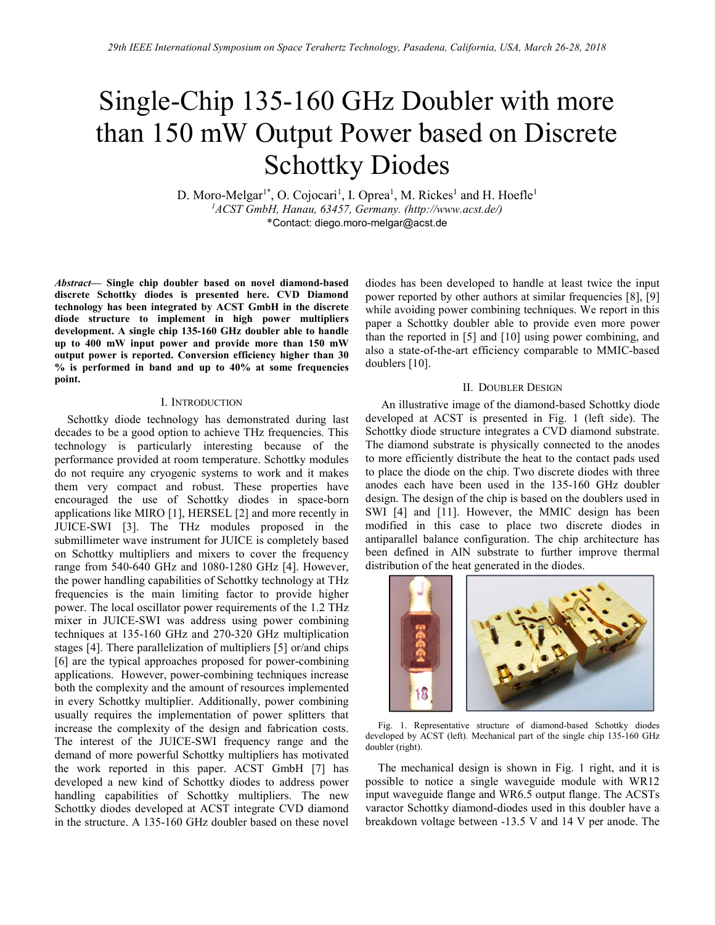# Single-Chip 135-160 GHz Doubler with more than 150 mW Output Power based on Discrete Schottky Diodes

D. Moro-Melgar<sup>1\*</sup>, O. Cojocari<sup>1</sup>, I. Oprea<sup>1</sup>, M. Rickes<sup>1</sup> and H. Hoefle<sup>1</sup>  $1ACST$  GmbH, Hanau, 63457, Germany. (http://www.acst.de/) \*Contact: diego.moro-melgar@acst.de

Abstract— Single chip doubler based on novel diamond-based discrete Schottky diodes is presented here. CVD Diamond technology has been integrated by ACST GmbH in the discrete diode structure to implement in high power multipliers development. A single chip 135-160 GHz doubler able to handle up to 400 mW input power and provide more than 150 mW output power is reported. Conversion efficiency higher than 30  $%$  is performed in band and up to  $40%$  at some frequencies point.

### I. INTRODUCTION

Schottky diode technology has demonstrated during last decades to be a good option to achieve THz frequencies. This technology is particularly interesting because of the performance provided at room temperature. Schottky modules do not require any cryogenic systems to work and it makes them very compact and robust. These properties have encouraged the use of Schottky diodes in space-born applications like MIRO [1], HERSEL [2] and more recently in JUICE-SWI [3]. The THz modules proposed in the submillimeter wave instrument for JUICE is completely based on Schottky multipliers and mixers to cover the frequency range from 540-640 GHz and 1080-1280 GHz [4]. However, the power handling capabilities of Schottky technology at THz frequencies is the main limiting factor to provide higher power. The local oscillator power requirements of the 1.2 THz mixer in JUICE-SWI was address using power combining techniques at 135-160 GHz and 270-320 GHz multiplication stages [4]. There parallelization of multipliers [5] or/and chips [6] are the typical approaches proposed for power-combining applications. However, power-combining techniques increase both the complexity and the amount of resources implemented in every Schottky multiplier. Additionally, power combining usually requires the implementation of power splitters that increase the complexity of the design and fabrication costs. The interest of the JUICE-SWI frequency range and the demand of more powerful Schottky multipliers has motivated the work reported in this paper. ACST GmbH [7] has developed a new kind of Schottky diodes to address power handling capabilities of Schottky multipliers. The new Schottky diodes developed at ACST integrate CVD diamond in the structure. A 135-160 GHz doubler based on these novel diodes has been developed to handle at least twice the input power reported by other authors at similar frequencies [8], [9] while avoiding power combining techniques. We report in this paper a Schottky doubler able to provide even more power than the reported in [5] and [10] using power combining, and also a state-of-the-art efficiency comparable to MMIC-based doublers [10].

#### II. DOUBLER DESIGN

An illustrative image of the diamond-based Schottky diode developed at ACST is presented in Fig. 1 (left side). The Schottky diode structure integrates a CVD diamond substrate. The diamond substrate is physically connected to the anodes to more efficiently distribute the heat to the contact pads used to place the diode on the chip. Two discrete diodes with three anodes each have been used in the 135-160 GHz doubler design. The design of the chip is based on the doublers used in SWI [4] and [11]. However, the MMIC design has been modified in this case to place two discrete diodes in antiparallel balance configuration. The chip architecture has been defined in AlN substrate to further improve thermal distribution of the heat generated in the diodes.



Fig. 1. Representative structure of diamond-based Schottky diodes developed by ACST (left). Mechanical part of the single chip 135-160 GHz doubler (right).

The mechanical design is shown in Fig. 1 right, and it is possible to notice a single waveguide module with WR12 input waveguide flange and WR6.5 output flange. The ACSTs varactor Schottky diamond-diodes used in this doubler have a breakdown voltage between -13.5 V and 14 V per anode. The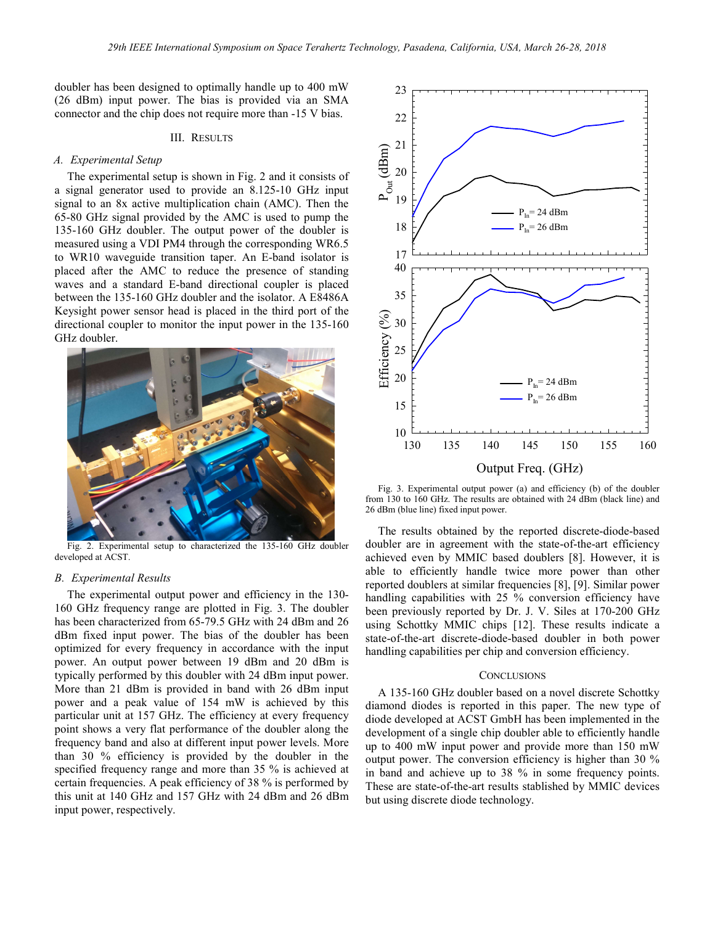doubler has been designed to optimally handle up to 400 mW (26 dBm) input power. The bias is provided via an SMA connector and the chip does not require more than -15 V bias.

## III. RESULTS

#### A. Experimental Setup

The experimental setup is shown in Fig. 2 and it consists of a signal generator used to provide an 8.125-10 GHz input signal to an 8x active multiplication chain (AMC). Then the 65-80 GHz signal provided by the AMC is used to pump the 135-160 GHz doubler. The output power of the doubler is measured using a VDI PM4 through the corresponding WR6.5 to WR10 waveguide transition taper. An E-band isolator is placed after the AMC to reduce the presence of standing waves and a standard E-band directional coupler is placed between the 135-160 GHz doubler and the isolator. A E8486A Keysight power sensor head is placed in the third port of the directional coupler to monitor the input power in the 135-160 GHz doubler.



Fig. 2. Experimental setup to characterized the 135-160 GHz doubler developed at ACST.

### B. Experimental Results

The experimental output power and efficiency in the 130- 160 GHz frequency range are plotted in Fig. 3. The doubler has been characterized from 65-79.5 GHz with 24 dBm and 26 dBm fixed input power. The bias of the doubler has been optimized for every frequency in accordance with the input power. An output power between 19 dBm and 20 dBm is typically performed by this doubler with 24 dBm input power. More than 21 dBm is provided in band with 26 dBm input power and a peak value of 154 mW is achieved by this particular unit at 157 GHz. The efficiency at every frequency point shows a very flat performance of the doubler along the frequency band and also at different input power levels. More than 30 % efficiency is provided by the doubler in the specified frequency range and more than 35 % is achieved at certain frequencies. A peak efficiency of 38 % is performed by this unit at 140 GHz and 157 GHz with 24 dBm and 26 dBm input power, respectively.



Fig. 3. Experimental output power (a) and efficiency (b) of the doubler from 130 to 160 GHz. The results are obtained with 24 dBm (black line) and 26 dBm (blue line) fixed input power.

The results obtained by the reported discrete-diode-based doubler are in agreement with the state-of-the-art efficiency achieved even by MMIC based doublers [8]. However, it is able to efficiently handle twice more power than other reported doublers at similar frequencies [8], [9]. Similar power handling capabilities with 25 % conversion efficiency have been previously reported by Dr. J. V. Siles at 170-200 GHz using Schottky MMIC chips [12]. These results indicate a state-of-the-art discrete-diode-based doubler in both power handling capabilities per chip and conversion efficiency.

#### **CONCLUSIONS**

A 135-160 GHz doubler based on a novel discrete Schottky diamond diodes is reported in this paper. The new type of diode developed at ACST GmbH has been implemented in the development of a single chip doubler able to efficiently handle up to 400 mW input power and provide more than 150 mW output power. The conversion efficiency is higher than 30 % in band and achieve up to 38 % in some frequency points. These are state-of-the-art results stablished by MMIC devices but using discrete diode technology.